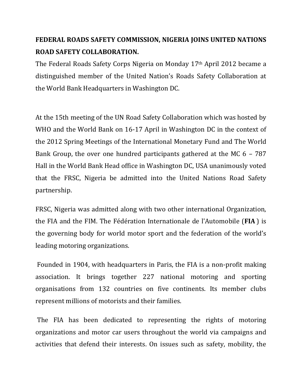## **FEDERAL ROADS SAFETY COMMISSION, NIGERIA JOINS UNITED NATIONS ROAD SAFETY COLLABORATION.**

The Federal Roads Safety Corps Nigeria on Monday 17th April 2012 became a distinguished member of the United Nation's Roads Safety Collaboration at the World Bank Headquarters in Washington DC.

At the 15th meeting of the UN Road Safety Collaboration which was hosted by WHO and the World Bank on 16-17 April in Washington DC in the context of the 2012 Spring Meetings of the International Monetary Fund and The World Bank Group, the over one hundred participants gathered at the MC 6 – 787 Hall in the World Bank Head office in Washington DC, USA unanimously voted that the FRSC, Nigeria be admitted into the United Nations Road Safety partnership.

FRSC, Nigeria was admitted along with two other international Organization, the FIA and the FIM. The Fédération Internationale de l'Automobile (**FIA** ) is the governing body for world motor sport and the federation of the world's leading motoring organizations.

Founded in 1904, with headquarters in Paris, the FIA is a non-profit making association. It brings together 227 national motoring and sporting organisations from 132 countries on five continents. Its member clubs represent millions of motorists and their families.

The FIA has been dedicated to representing the rights of motoring organizations and motor car users throughout the world via campaigns and activities that defend their interests. On issues such as safety, mobility, the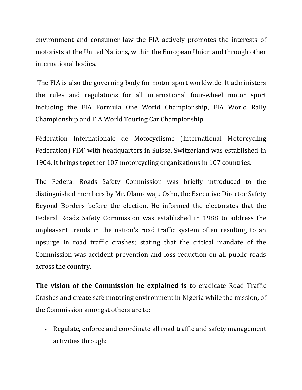environment and consumer law the FIA actively promotes the interests of motorists at the United Nations, within the European Union and through other international bodies.

The FIA is also the governing body for motor sport worldwide. It administers the rules and regulations for all international four-wheel motor sport including the FIA Formula One World Championship, FIA World Rally Championship and FIA World Touring Car Championship.

Fédération Internationale de Motocyclisme (International Motorcycling Federation) FIM' with headquarters in Suisse, Switzerland was established in 1904. It brings together 107 motorcycling organizations in 107 countries.

The Federal Roads Safety Commission was briefly introduced to the distinguished members by Mr. Olanrewaju Osho, the Executive Director Safety Beyond Borders before the election. He informed the electorates that the Federal Roads Safety Commission was established in 1988 to address the unpleasant trends in the nation's road traffic system often resulting to an upsurge in road traffic crashes; stating that the critical mandate of the Commission was accident prevention and loss reduction on all public roads across the country.

**The vision of the Commission he explained is t**o eradicate Road Traffic Crashes and create safe motoring environment in Nigeria while the mission, of the Commission amongst others are to:

• Regulate, enforce and coordinate all road traffic and safety management activities through: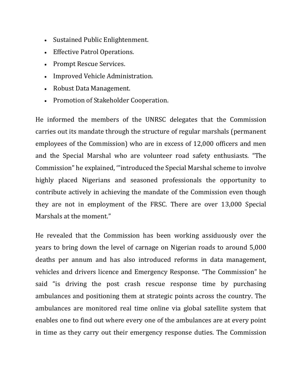- Sustained Public Enlightenment.
- Effective Patrol Operations.
- Prompt Rescue Services.
- Improved Vehicle Administration.
- Robust Data Management.
- Promotion of Stakeholder Cooperation.

He informed the members of the UNRSC delegates that the Commission carries out its mandate through the structure of regular marshals (permanent employees of the Commission) who are in excess of 12,000 officers and men and the Special Marshal who are volunteer road safety enthusiasts. "The Commission" he explained, '"introduced the Special Marshal scheme to involve highly placed Nigerians and seasoned professionals the opportunity to contribute actively in achieving the mandate of the Commission even though they are not in employment of the FRSC. There are over 13,000 Special Marshals at the moment."

He revealed that the Commission has been working assiduously over the years to bring down the level of carnage on Nigerian roads to around 5,000 deaths per annum and has also introduced reforms in data management, vehicles and drivers licence and Emergency Response. "The Commission" he said "is driving the post crash rescue response time by purchasing ambulances and positioning them at strategic points across the country. The ambulances are monitored real time online via global satellite system that enables one to find out where every one of the ambulances are at every point in time as they carry out their emergency response duties. The Commission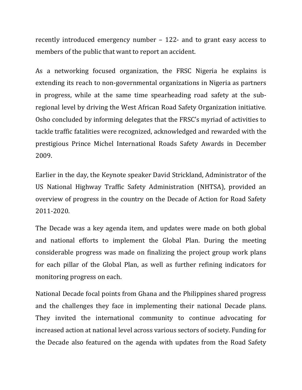recently introduced emergency number – 122- and to grant easy access to members of the public that want to report an accident.

As a networking focused organization, the FRSC Nigeria he explains is extending its reach to non-governmental organizations in Nigeria as partners in progress, while at the same time spearheading road safety at the subregional level by driving the West African Road Safety Organization initiative. Osho concluded by informing delegates that the FRSC's myriad of activities to tackle traffic fatalities were recognized, acknowledged and rewarded with the prestigious Prince Michel International Roads Safety Awards in December 2009.

Earlier in the day, the Keynote speaker David Strickland, Administrator of the US National Highway Traffic Safety Administration (NHTSA), provided an overview of progress in the country on the Decade of Action for Road Safety 2011-2020.

The Decade was a key agenda item, and updates were made on both global and national efforts to implement the Global Plan. During the meeting considerable progress was made on finalizing the project group work plans for each pillar of the Global Plan, as well as further refining indicators for monitoring progress on each.

National Decade focal points from Ghana and the Philippines shared progress and the challenges they face in implementing their national Decade plans. They invited the international community to continue advocating for increased action at national level across various sectors of society. Funding for the Decade also featured on the agenda with updates from the Road Safety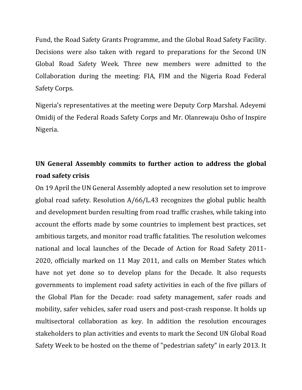Fund, the Road Safety Grants Programme, and the Global Road Safety Facility. Decisions were also taken with regard to preparations for the Second UN Global Road Safety Week. Three new members were admitted to the Collaboration during the meeting: FIA, FIM and the Nigeria Road Federal Safety Corps.

Nigeria's representatives at the meeting were Deputy Corp Marshal. Adeyemi Omidij of the Federal Roads Safety Corps and Mr. Olanrewaju Osho of Inspire Nigeria.

## **UN General Assembly commits to further action to address the global road safety crisis**

On 19 April the UN General Assembly adopted a new resolution set to improve global road safety. Resolution A/66/L.43 recognizes the global public health and development burden resulting from road traffic crashes, while taking into account the efforts made by some countries to implement best practices, set ambitious targets, and monitor road traffic fatalities. The resolution welcomes national and local launches of the Decade of Action for Road Safety 2011- 2020, officially marked on 11 May 2011, and calls on Member States which have not yet done so to develop plans for the Decade. It also requests governments to implement road safety activities in each of the five pillars of the Global Plan for the Decade: road safety management, safer roads and mobility, safer vehicles, safer road users and post-crash response. It holds up multisectoral collaboration as key. In addition the resolution encourages stakeholders to plan activities and events to mark the Second UN Global Road Safety Week to be hosted on the theme of "pedestrian safety" in early 2013. It